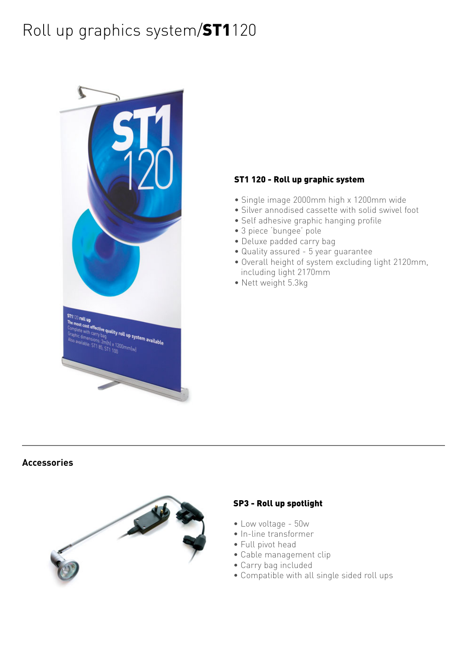# Roll up graphics system/ST1120



#### ST1 120 - Roll up graphic system

- Single image 2000mm high x 1200mm wide
- Silver annodised cassette with solid swivel foot
- Self adhesive graphic hanging profile
- 3 piece 'bungee' pole
- Deluxe padded carry bag
- Quality assured 5 year guarantee
- Overall height of system excluding light 2120mm, including light 2170mm
- Nett weight 5.3kg

#### **Accessories**



#### SP3 - Roll up spotlight

- Low voltage 50w
- In-line transformer
- Full pivot head
- Cable management clip
- Carry bag included
- Compatible with all single sided roll ups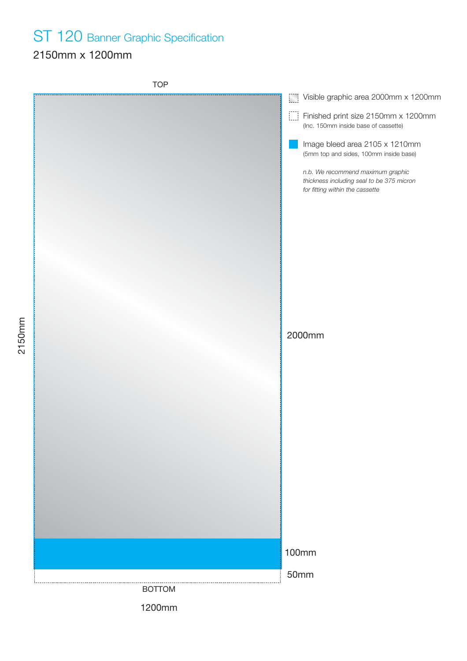## ST 120 Banner Graphic Specification

### 2150mm x 1200mm

2150mm

TOP